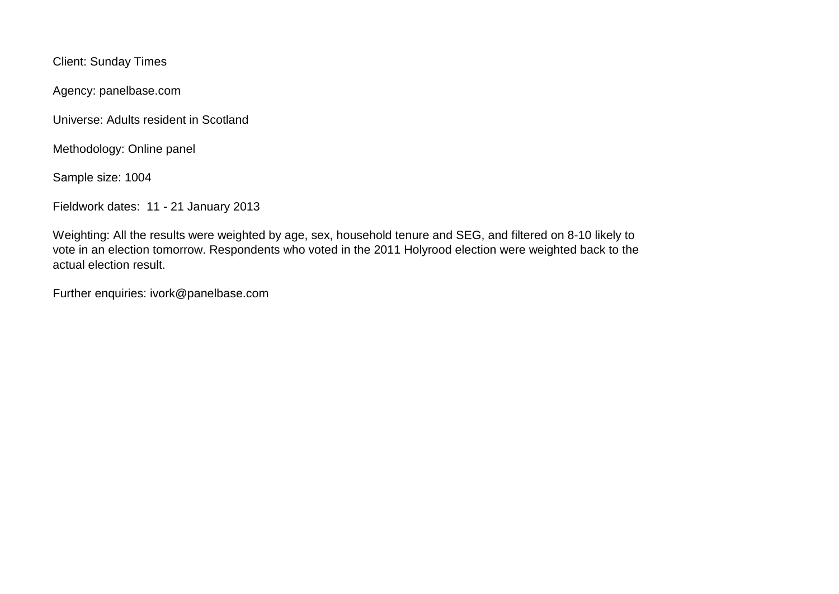Client: Sunday Times

Agency: panelbase.com

Universe: Adults resident in Scotland

Methodology: Online panel

Sample size: 1004

Fieldwork dates: 11 - 21 January 2013

Weighting: All the results were weighted by age, sex, household tenure and SEG, and filtered on 8-10 likely to vote in an election tomorrow. Respondents who voted in the 2011 Holyrood election were weighted back to the actual election result.

Further enquiries: ivork@panelbase.com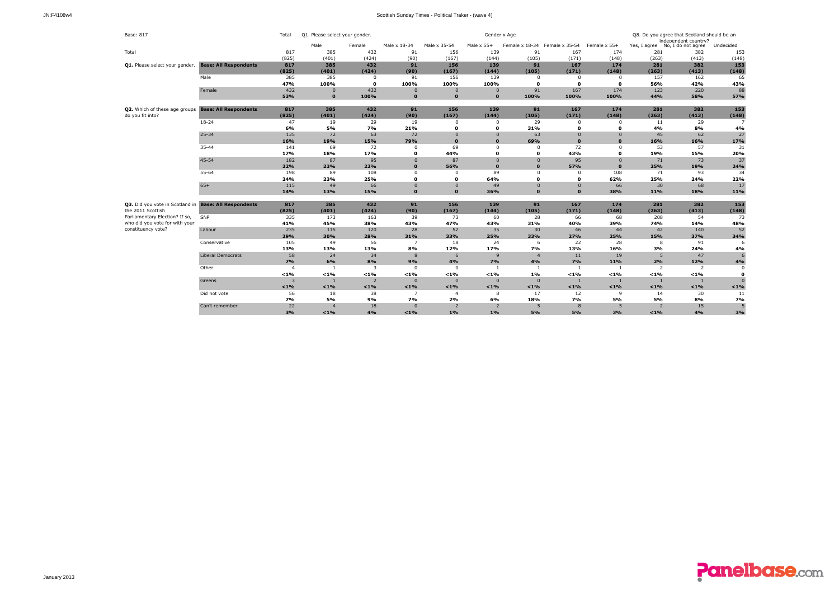| Base: 817                                             |                              | Total            | Q1. Please select your gender. |                |                |                     | Gender x Age             |                        | Q8. Do you agree that Scotland should be an |                  |                |                                        |                |
|-------------------------------------------------------|------------------------------|------------------|--------------------------------|----------------|----------------|---------------------|--------------------------|------------------------|---------------------------------------------|------------------|----------------|----------------------------------------|----------------|
|                                                       |                              |                  |                                |                |                |                     |                          |                        |                                             | Female x 55+     |                | independent country?                   |                |
|                                                       |                              |                  | Male<br>385                    | Female<br>432  | Male x 18-34   | Male x 35-54<br>156 | Male $\times$ 55+<br>139 |                        | Female x 18-34 Female x 35-54               | 174              | 281            | Yes, I agree No, I do not agree<br>382 | Undecided      |
| Total                                                 |                              | 817              | (401)                          | (424)          | 91<br>(90)     | (167)               |                          | 91<br>(105)            | 167<br>(171)                                | (148)            | (263)          | (413)                                  | 153            |
|                                                       |                              | (825)            |                                | 432            | 91             | 156                 | (144)                    | 91                     | 167                                         |                  | 281            | 382                                    | (148)<br>153   |
| Q1. Please select your gender.                        | <b>Base: All Respondents</b> | 817<br>(825)     | 385<br>(401)                   | (424)          | (90)           | (167)               | 139<br>(144)             |                        | (171)                                       | 174              |                | (413)                                  |                |
|                                                       |                              | 385              | 385                            |                |                |                     |                          | (105)                  |                                             | (148)            | (263)<br>157   |                                        | (148)          |
|                                                       | Male                         | 47%              | 100%                           | 0<br>o         | 91<br>100%     | 156<br>100%         | 139<br>100%              | $^{\circ}$<br>$\Omega$ | $^{\circ}$<br>$\mathbf{o}$                  | 0<br>$\mathbf o$ | 56%            | 162<br>42%                             | 65<br>43%      |
|                                                       | Female                       | 432              | $\mathbf{0}$                   | 432            | $\mathbf{0}$   | $\mathbf{0}$        | $\mathbf{0}$             |                        | 167                                         | 174              | 123            | 220                                    | 88             |
|                                                       |                              |                  | $\mathbf{0}$                   |                | $\mathbf{o}$   | $\mathbf{0}$        | $\mathbf{o}$             | 91                     |                                             |                  | 44%            |                                        | 57%            |
|                                                       |                              | 53%              |                                | 100%           |                |                     |                          | 100%                   | 100%                                        | 100%             |                | 58%                                    |                |
| Q2. Which of these age groups                         | <b>Base: All Respondents</b> | 817              | 385                            | 432            | 91             | 156                 | 139                      | 91                     | 167                                         | 174              | 281            | 382                                    | 153            |
| do you fit into?                                      |                              | (825)            | (401)                          | (424)          | (90)           | (167)               | (144)                    | (105)                  | (171)                                       | (148)            | (263)          | (413)                                  | (148)          |
|                                                       | $18 - 24$                    | 47               | 19                             | 29             | 19             | $\mathbf 0$         | 0                        | 29                     | $^{\circ}$                                  | $\overline{0}$   | 11             | 29                                     | $\overline{7}$ |
|                                                       |                              | 6%               | 5%                             | 7%             | 21%            | $\mathbf{o}$        | $\Omega$                 | 31%                    | $\mathbf{o}$                                | $\mathbf 0$      | 4%             | 8%                                     | 4%             |
|                                                       | $25 - 34$                    | 135              | 72                             | 63             | 72             | $\Omega$            | $\Omega$                 | 63                     | $\Omega$                                    | $\Omega$         | 45             | 62                                     | 27             |
|                                                       |                              | 16%              | 19%                            | 15%            | 79%            | $\Omega$            | $\mathbf{0}$             | 69%                    | $\Omega$                                    | $\Omega$         | 16%            | 16%                                    | 17%            |
|                                                       | $35 - 44$                    | 141              | 69                             | 72             | $\mathbf 0$    | 69                  | $\Omega$                 | $\Omega$               | 72                                          | $^{\circ}$       | 53             | 57                                     | 31             |
|                                                       |                              | 17%              | 18%                            | 17%            | $\Omega$       | 44%                 | O                        | $\Omega$               | 43%                                         | $\mathbf 0$      | 19%            | 15%                                    | 20%            |
|                                                       | $45 - 54$                    | 182              | 87                             | 95             | $\mathbf{0}$   | 87                  | $\Omega$                 | $\Omega$               | 95                                          | $\overline{0}$   | 71             | 73                                     | 37             |
|                                                       |                              | 22%              | 23%                            | 22%            | $\Omega$       | 56%                 | $\mathbf{0}$             | $\Omega$               | 57%                                         | $\Omega$         | 25%            | 19%                                    | 24%            |
|                                                       | 55-64                        | 198              | 89                             | 108            | $\Omega$       | $\Omega$            | 89                       | $\Omega$               | $^{\circ}$                                  | 108              | 71             | 93                                     | 34             |
|                                                       |                              | 24%              | 23%                            | 25%            | $\mathbf{o}$   | $\mathbf{o}$        | 64%                      | $\Omega$               | $\mathbf{o}$                                | 62%              | 25%            | 24%                                    | 22%            |
|                                                       | $65+$                        | 115              | 49                             | 66             | $\mathbf{0}$   | $\mathbf{0}$        | 49                       | $\mathbf{0}$           | $\mathbf{0}$                                | 66               | 30             | 68                                     | 17             |
|                                                       |                              | 14%              | 13%                            | 15%            | $\mathbf{0}$   | $\mathbf{0}$        | 36%                      | $\mathbf{0}$           | $\Omega$                                    | 38%              | 11%            | 18%                                    | 11%            |
| Q3. Did you vote in Scotland in Base: All Respondents |                              | 817              | 385                            | 432            | 91             | 156                 | 139                      | 91                     | 167                                         | 174              | 281            | 382                                    | 153            |
| the 2011 Scottish                                     |                              | (825)            | (401)                          | (424)          | (90)           | (167)               | (144)                    | (105)                  | (171)                                       | (148)            | (263)          | (413)                                  | (148)          |
| Parliamentary Election? If so,                        | SNP                          | 335              | 173                            | 163            | 39             | 73                  | 60                       | 28                     | 66                                          | 68               | 208            | 54                                     | 73             |
| who did you vote for with your                        |                              | 41%              | 45%                            | 38%            | 43%            | 47%                 | 43%                      | 31%                    | 40%                                         | 39%              | 74%            | 14%                                    | 48%            |
| constituency vote?                                    | Labour                       | 235              | 115                            | 120            | 28             | 52                  | 35                       | 30                     | 46                                          | 44               | 42             | 140                                    | 52             |
|                                                       |                              | 29%              | 30%                            | 28%            | 31%            | 33%                 | 25%                      | 33%                    | 27%                                         | 25%              | 15%            | 37%                                    | 34%            |
|                                                       | Conservative                 | 105              | 49                             | 56             | $\overline{7}$ | 18                  | 24                       | 6                      | 22                                          | 28               | 8              | 91                                     | 6              |
|                                                       |                              | 13%              | 13%                            | 13%            | 8%             | 12%                 | 17%                      | 7%                     | 13%                                         | 16%              | 3%             | 24%                                    | 4%             |
|                                                       | <b>Liberal Democrats</b>     | 58               | 24                             | 34             | 8              | 6                   | 9                        | $\overline{4}$         | 11                                          | 19               | 5              | 47                                     |                |
|                                                       |                              | 7%               | 6%                             | 8%             | 9%             | 4%                  | 7%                       | 4%                     | 7%                                          | 11%              | 2%             | 12%                                    | 4%             |
|                                                       | Other                        | $\boldsymbol{A}$ | $\overline{1}$                 | $\overline{3}$ | $\mathbf 0$    | $\Omega$            | -1                       | -1                     | -1                                          | -1               | 2              | $\overline{2}$                         | $\Omega$       |
|                                                       |                              | < 1%             | $< 1\%$                        | $< 1\%$        | < 1%           | $< 1\%$             | $< 1\%$                  | 1%                     | $< 1\%$                                     | < 1%             | $< 1\%$        | $< 1\%$                                | $\Omega$       |
|                                                       | Greens                       | 3                | $\overline{1}$                 | $\overline{2}$ | $\mathbf 0$    | $\Omega$            | $\Omega$                 | $\Omega$               | $\mathbf{1}$                                | $\overline{1}$   | $\overline{1}$ | $\overline{1}$                         | $\Omega$       |
|                                                       |                              | $< 1\%$          | $< 1\%$                        | $< 1\%$        | $< 1\%$        | $< 1\%$             | $< 1\%$                  | < 1%                   | $< 1\%$                                     | < 1%             | $< 1\%$        | $< 1\%$                                | < 1%           |
|                                                       | Did not vote                 | 56               | 18                             | 38             | 7              | $\overline{4}$      | 8                        | 17                     | 12                                          | 9                | 14             | 30                                     | 11             |
|                                                       |                              | 7%               | 5%                             | 9%             | 7%             | 2%                  | 6%                       | 18%                    | 7%                                          | 5%               | 5%             | 8%                                     | 7%             |
|                                                       | Can't remember               | 22               | $\overline{4}$                 | 18             | $\Omega$       | $\overline{z}$      | $\overline{2}$           | 5                      | $\mathbf{8}$                                | 5                | $\overline{2}$ | 15                                     | 5              |
|                                                       |                              | 3%               | $1\%$                          | 4%             | $1\%$          | 1%                  | 1%                       | 5%                     | 5%                                          | 3%               | $< 1\%$        | 4%                                     | 3%             |

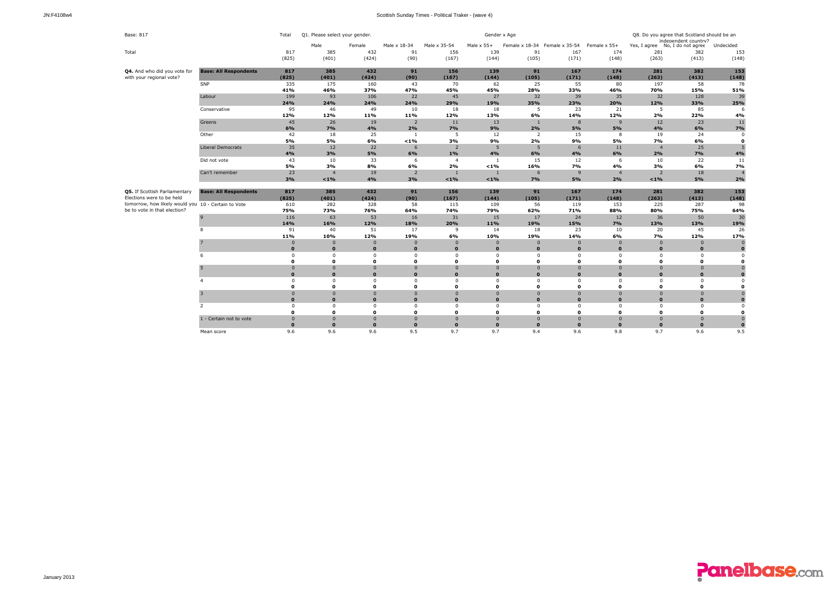| Base: 817                                                        | Total                        | Q1. Please select your gender. |                          |                          |                      | Gender x Age            | Q8. Do you agree that Scotland should be an<br>independent country? |                               |                      |                      |                           |                                 |              |
|------------------------------------------------------------------|------------------------------|--------------------------------|--------------------------|--------------------------|----------------------|-------------------------|---------------------------------------------------------------------|-------------------------------|----------------------|----------------------|---------------------------|---------------------------------|--------------|
|                                                                  |                              |                                | Male                     | Female                   | Male x 18-34         | Male x 35-54            | Male $\times$ 55+                                                   | Female x 18-34 Female x 35-54 |                      | Female x 55+         |                           | Yes, I agree No, I do not agree | Undecided    |
| Total                                                            |                              | 817                            | 385                      | 432                      | 91                   | 156                     | 139                                                                 | 91                            | 167                  | 174                  | 281                       | 382                             | 153          |
|                                                                  |                              | (825)                          | (401)                    | (424)                    | (90)                 | (167)                   | (144)                                                               | (105)                         | (171)                | (148)                | (263)                     | (413)                           | (148)        |
| Q4. And who did you vote for                                     | <b>Base: All Respondents</b> | 817                            | 385                      | 432                      | 91                   | 156                     | 139                                                                 | 91                            | 167                  | 174                  | 281                       | 382                             | 153          |
| with your regional vote?                                         |                              | (825)                          | (401)                    | (424)                    | (90)                 | (167)                   | (144)                                                               | (105)                         | (171)                | (148)                | (263)                     | (413)                           | (148)        |
|                                                                  | SNP                          | 335                            | 175                      | 160                      | 43                   | 70                      | 62                                                                  | 25                            | 55                   | 80                   | 197                       | 58                              | 78           |
|                                                                  | Labour                       | 41%<br>199                     | 46%<br>93                | 37%<br>106               | 47%<br>22            | 45%<br>45               | 45%<br>27                                                           | 28%<br>32                     | 33%<br>39            | 46%<br>35            | 70%<br>32                 | 15%<br>128                      | 51%<br>39    |
|                                                                  |                              | 24%                            | 24%                      | 24%                      | 24%                  | 29%                     | 19%                                                                 | 35%                           | 23%                  | 20%                  | 12%                       | 33%                             | 25%          |
|                                                                  | Conservative                 | 95                             | 46                       | 49                       | 10                   | 18                      | 18                                                                  | 5                             | 23                   | 21                   | 5                         | 85                              |              |
|                                                                  |                              | 12%                            | 12%                      | 11%                      | 11%                  | 12%                     | 13%                                                                 | 6%                            | 14%                  | 12%                  | 2%                        | 22%                             | 4%           |
|                                                                  | Greens                       | 45                             | 26                       | 19                       | $\overline{2}$       | 11                      | 13                                                                  |                               | 8                    | 9                    | 12                        | 23                              | 11           |
|                                                                  |                              | 6%                             | 7%                       | 4%                       | 2%                   | 7%                      | 9%                                                                  | 2%                            | 5%                   | 5%                   | 4%                        | 6%                              | 7%           |
|                                                                  | Other                        | 42                             | 18                       | 25                       | <sup>1</sup>         | 5                       | 12                                                                  | $\overline{2}$                | 15                   | 8                    | 19                        | 24                              | $\sqrt{ }$   |
|                                                                  |                              | 5%                             | 5%                       | 6%                       | $< 1\%$              | 3%                      | 9%                                                                  | 2%                            | 9%                   | 5%                   | 7%                        | 6%                              | $\Omega$     |
|                                                                  | <b>Liberal Democrats</b>     | 35                             | 12                       | 22                       | 6                    | $\overline{2}$          | 5                                                                   | 5                             | 6                    | 11                   | $\overline{4}$            | 25                              |              |
|                                                                  |                              | 4%                             | 3%                       | 5%                       | 6%                   | 1%                      | 4%                                                                  | 6%                            | 4%                   | 6%                   | 2%                        | <b>7%</b>                       | 4%           |
|                                                                  | Did not vote                 | 43                             | 10                       | 33                       | 6                    | $\overline{4}$          | $\mathbf{1}$                                                        | 15                            | 12                   | 6                    | 10                        | 22                              | 11           |
|                                                                  |                              | 5%                             | 3%                       | 8%                       | 6%                   | 2%                      | $< 1\%$                                                             | 16%                           | 7%                   | 4%                   | 3%                        | 6%                              | 7%           |
|                                                                  | Can't remember               | 23                             | $\overline{4}$           | 19                       | $\overline{2}$       |                         | $\mathbf{1}$                                                        | 6                             | 9                    | $\overline{4}$       | $\overline{2}$            | 18                              |              |
|                                                                  |                              | 3%                             | $< 1\%$                  | 4%                       | 3%                   | $< 1\%$                 | $< 1\%$                                                             | 7%                            | 5%                   | 2%                   | $< 1\%$                   | 5%                              | 2%           |
| Q5. If Scottish Parliamentary                                    | <b>Base: All Respondents</b> | 817                            | 385                      | 432                      | 91                   | 156                     | 139                                                                 | 91                            | 167                  | 174                  | 281                       | 382                             | 153          |
| Elections were to be held                                        |                              | (825)                          | (401)                    | (424)                    | (90)                 | (167)                   | (144)                                                               | (105)                         | (171)                | (148)                | (263)                     | (413)                           | (148)        |
| tomorrow, how likely would you $\overline{10}$ - Certain to Vote |                              | 610                            | 282                      | 328                      | 58                   | 115                     | 109                                                                 | 56                            | 119                  | 153                  | 225                       | 287                             | 98           |
| be to vote in that election?                                     |                              | 75%                            | 73%                      | 76%                      | 64%                  | 74%                     | 79%                                                                 | 62%                           | 71%                  | 88%                  | 80%                       | 75%                             | 64%          |
|                                                                  | 9                            | 116                            | 63                       | 53                       | 16                   | 31                      | 15                                                                  | 17                            | 24                   | 12                   | 36                        | 50                              | 30           |
|                                                                  |                              | 14%                            | 16%                      | 12%                      | 18%                  | 20%                     | 11%                                                                 | 19%                           | 15%                  | 7%                   | 13%                       | 13%                             | 19%          |
|                                                                  | 8                            | 91                             | 40                       | 51                       | 17                   | 9                       | 14                                                                  | 18                            | 23                   | 10                   | 20                        | 45                              | 26           |
|                                                                  |                              | 11%                            | 10%                      | 12%                      | 19%                  | 6%                      | 10%                                                                 | 19%                           | 14%                  | 6%                   | 7%                        | 12%                             | 17%          |
|                                                                  |                              | $\overline{0}$                 | $\Omega$                 | $\overline{0}$           | $\overline{0}$       | $\Omega$                | $\Omega$                                                            | $\Omega$                      | $\Omega$             | $\Omega$             | $\mathbf 0$               | $\Omega$                        |              |
|                                                                  |                              | $\bf{0}$                       | $\mathbf{0}$             | $\mathbf 0$              | $\mathbf{0}$         | $\mathbf{0}$            | $\Omega$                                                            | $\Omega$                      | $\mathbf{0}$         | $\Omega$             | $\mathbf 0$               | $\Omega$                        |              |
|                                                                  | 6                            | 0                              | $\Omega$                 | $\mathbf 0$              | $\Omega$             | $\Omega$                | $\Omega$                                                            | $\Omega$                      | $\Omega$             | $^{\circ}$           | $^{\circ}$                | $\Omega$                        | $\Omega$     |
|                                                                  |                              | $\mathbf{o}$                   | $\mathbf{0}$             | $\mathbf{o}$             | $\Omega$             | $\mathbf 0$             | O                                                                   | O                             | 0                    | $\Omega$             | 0                         | $\mathbf{0}$                    | $\Omega$     |
|                                                                  |                              | $\mathbf 0$                    | $\Omega$                 | $\mathbf{0}$             | $\overline{0}$       | $\mathbf{0}$            | $\overline{0}$                                                      | $\Omega$                      | $\overline{0}$       | $\overline{0}$       | $\mathbf{0}$              | $\overline{0}$                  |              |
|                                                                  |                              | $\mathbf{0}$                   | $\Omega$                 | $\mathbf{o}$             | $\Omega$<br>$\Omega$ | $\mathbf{o}$            | $\Omega$                                                            | $\Omega$                      | $\mathbf 0$          | $\Omega$             | $\mathbf{0}$              | $\Omega$                        |              |
|                                                                  |                              | $^{\circ}$<br>$\mathbf 0$      | $\Omega$<br>$\mathbf{0}$ | $\Omega$<br>$\mathbf{0}$ | $\Omega$             | $\Omega$<br>$\mathbf 0$ | $\Omega$<br>$\Omega$                                                | $\Omega$<br>$\mathbf{0}$      | $\Omega$<br>$\Omega$ | $\Omega$<br>$\Omega$ | $^{\circ}$<br>$\mathbf 0$ | $\Omega$<br>$\mathbf{0}$        | n            |
|                                                                  |                              | $\mathbf 0$                    | $\mathbf{0}$             | $\Omega$                 | $\Omega$             | $\Omega$                | $\Omega$                                                            | $\Omega$                      | $\Omega$             | $\Omega$             | $\Omega$                  | $\overline{0}$                  |              |
|                                                                  |                              | $\mathbf{0}$                   | $\mathbf{0}$             | $\mathbf{o}$             | $\mathbf{o}$         | $\mathbf{o}$            | $\mathbf{0}$                                                        | $\Omega$                      | $\bf{0}$             | $\Omega$             | $\mathbf{0}$              | $\Omega$                        | $\Omega$     |
|                                                                  | $\overline{2}$               | $\mathbf 0$                    | $\mathbf 0$              | $\Omega$                 | $\mathbf 0$          | $\Omega$                | $\Omega$                                                            | $\Omega$                      | $\Omega$             | $\mathbf 0$          | $\mathbf 0$               | $\Omega$                        |              |
|                                                                  |                              | $\mathbf{0}$                   | $\mathbf{0}$             | $\mathbf{0}$             | $\Omega$             | $\mathbf{o}$            | $\Omega$                                                            | $\mathbf{0}$                  | $\Omega$             | $\Omega$             | 0                         | $\mathbf{0}$                    | $\Omega$     |
|                                                                  | 1 - Certain not to vote      | $\mathbf 0$                    | $\Omega$                 | $\Omega$                 | $\mathbf 0$          | $\Omega$                | $\Omega$                                                            | $\Omega$                      | $\Omega$             | $\Omega$             | $\mathbf{0}$              | $\mathbf{0}$                    |              |
|                                                                  |                              | $\mathbf{0}$                   | $\Omega$                 | $\mathbf{0}$             | $\Omega$             | $\mathbf{0}$            | $\Omega$                                                            | $\Omega$                      | $\Omega$             | $\Omega$             | $\mathbf{0}$              | $\Omega$                        | $\mathbf{0}$ |
|                                                                  | Mean score                   | 9.6                            | 9.6                      | 9.6                      | 9.5                  | 9.7                     | 9.7                                                                 | 9.4                           | 9.6                  | 9.8                  | 9.7                       | 9.6                             | 9.5          |

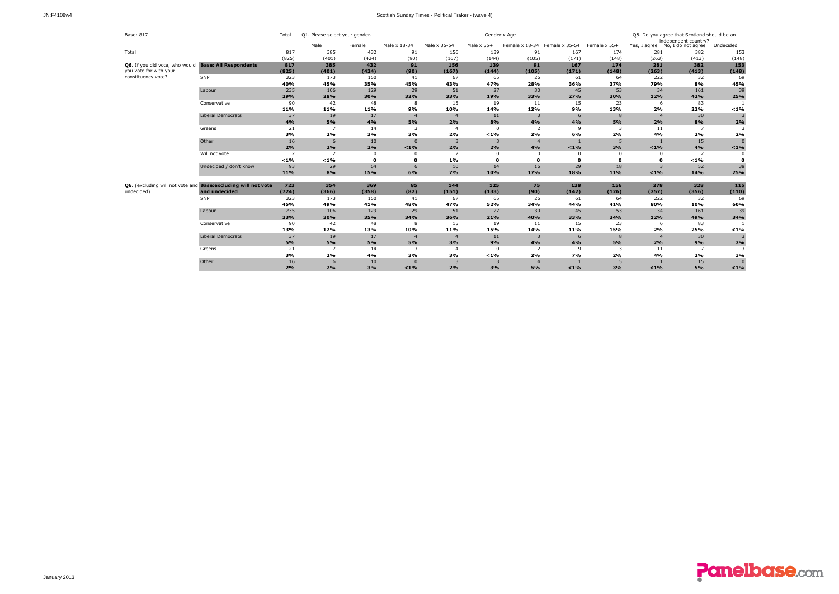| Base: 817                                      |                                     | Total          | Q1. Please select your gender |              |                |                |                   | Q8. Do you agree that Scotland should be an<br>independent country? |                |              |                |                                 |              |
|------------------------------------------------|-------------------------------------|----------------|-------------------------------|--------------|----------------|----------------|-------------------|---------------------------------------------------------------------|----------------|--------------|----------------|---------------------------------|--------------|
|                                                |                                     |                | Male                          | Female       | Male x 18-34   | Male x 35-54   | Male $\times$ 55+ | Female x 18-34                                                      | Female x 35-54 | Female x 55+ |                | Yes, I agree No, I do not agree | Undecided    |
| Total                                          |                                     | 817            | 385                           | 432          | 91             | 156            | 139               | 91                                                                  | 167            | 174          | 281            | 382                             | 153          |
|                                                |                                     | (825)          | (401)                         | (424)        | (90)           | (167)          | (144)             | (105)                                                               | (171)          | (148)        | (263)          | (413)                           | (148)        |
| Q6. If you did vote, who would                 | <b>Base: All Respondents</b>        | 817            | 385                           | 432          | 91             | 156            | 139               | 91                                                                  | 167            | 174          | 281            | 382                             | 153          |
| you vote for with your                         |                                     | (825)          | (401)                         | (424)        | (90)           | (167)          | (144)             | (105)                                                               | (171)          | (148)        | (263)          | (413)                           | (148)        |
| constituency vote?                             | SNP                                 | 323            | 173                           | 150          | 41             | 67             | 65                | 26                                                                  | 61             | 64           | 222            | 32                              | 69           |
|                                                |                                     | 40%            | 45%                           | 35%          | 45%            | 43%            | 47%               | 28%                                                                 | 36%            | 37%          | 79%            | 8%                              | 45%          |
|                                                | Labour                              | 235            | 106                           | 129          | 29             | 51             | 27                | 30                                                                  | 45             | 53           | 34             | 161                             | 39           |
|                                                |                                     | 29%            | 28%                           | 30%          | 32%            | 33%            | 19%               | 33%                                                                 | 27%            | 30%          | 12%            | 42%                             | 25%          |
|                                                | Conservative                        | 90             | 42                            | 48           | 8              | 15             | 19                | 11                                                                  | 15             | 23           | 6              | 83                              | $\mathbf{1}$ |
|                                                |                                     | 11%            | 11%                           | 11%          | 9%             | 10%            | 14%               | 12%                                                                 | 9%             | 13%          | 2%             | 22%                             | $< 1\%$      |
|                                                | <b>Liberal Democrats</b>            | 37             | 19                            | 17           | $\overline{4}$ | $\overline{4}$ | 11                | 3                                                                   | 6              | $\mathbf{8}$ | $\overline{4}$ | 30                              | 3            |
|                                                |                                     | 4%             | 5%                            | 4%           | 5%             | 2%             | 8%                | 4%                                                                  | 4%             | 5%           | 2%             | 8%                              | 2%           |
|                                                | Greens                              | 21             | $\overline{7}$                | 14           | 3              | $\overline{4}$ | $\Omega$          | $\overline{2}$                                                      | $\mathbf{q}$   | 3            | 11             | $\overline{7}$                  | 3            |
|                                                |                                     | 3%             | 2%                            | 3%           | 3%             | 2%             | $< 1\%$           | 2%                                                                  | 6%             | 2%           | 4%             | 2%                              | 2%           |
|                                                | Other                               | 16             | 6                             | 10           | $\Omega$       | $\overline{3}$ | $\overline{3}$    | $\overline{4}$                                                      |                | 5            |                | 15                              | $\mathbf{0}$ |
|                                                |                                     | 2%             | 2%                            | 2%           | $< 1\%$        | 2%             | 2%                | 4%                                                                  | $< 1\%$        | 3%           | $< 1\%$        | 4%                              | $< 1\%$      |
|                                                | Will not vote                       | $\overline{2}$ | 2                             | $\mathbf 0$  | $\Omega$       | $\overline{2}$ | $\Omega$          | $\Omega$                                                            | $\Omega$       | $\Omega$     | $\Omega$       | $\overline{\phantom{0}}$        | $\Omega$     |
|                                                |                                     | $< 1\%$        | $< 1\%$                       | $\Omega$     | o              | 1%             | $\Omega$          | 0                                                                   | $\mathbf{0}$   | $\Omega$     | $\mathbf{o}$   | $< 1\%$                         | 0            |
|                                                | Undecided / don't know              | 93             | 29                            | 64           | 6              | 10             | 14                | 16                                                                  | 29             | 18           | 3              | 52                              | 38           |
|                                                |                                     | 11%            | 8%                            | 15%          | 6%             | <b>7%</b>      | 10%               | 17%                                                                 | 18%            | 11%          | $< 1\%$        | 14%                             | 25%          |
|                                                | <b>Base:excluding will not vote</b> |                |                               |              |                |                |                   |                                                                     |                |              |                |                                 |              |
| Q6. (excluding will not vote and<br>undecided) | and undecided                       | 723<br>(724)   | 354<br>(366)                  | 369<br>(358) | 85<br>(82)     | 144<br>(151)   | 125<br>(133)      | 75<br>(90)                                                          | 138<br>(142)   | 156<br>(126) | 278<br>(257)   | 328<br>(356)                    | 115<br>(110) |
|                                                | SNP                                 | 323            | 173                           | 150          | 41             | 67             | 65                | 26                                                                  | 61             | 64           | 222            | 32                              | 69           |
|                                                |                                     | 45%            | 49%                           | 41%          | 48%            | 47%            | 52%               | 34%                                                                 | 44%            | 41%          | 80%            | 10%                             | 60%          |
|                                                | Labour                              | 235            | 106                           | 129          | 29             | 51             | 27                | 30                                                                  | 45             | 53           | 34             | 161                             | 39           |
|                                                |                                     | 33%            | 30%                           | 35%          | 34%            | 36%            | 21%               | 40%                                                                 | 33%            | 34%          | 12%            | 49%                             | 34%          |
|                                                | Conservative                        | 90             | 42                            | 48           | 8              | 15             | 19                | 11                                                                  | 15             | 23           | 6              | 83                              |              |
|                                                |                                     | 13%            | 12%                           | 13%          | 10%            | 11%            | 15%               | 14%                                                                 | 11%            | 15%          | 2%             | 25%                             | $< 1\%$      |
|                                                | <b>Liberal Democrats</b>            | 37             | 19                            | 17           | $\overline{4}$ | $\overline{4}$ | 11                | 3                                                                   | 6              | $\mathbf{8}$ | $\overline{4}$ | 30                              | 3            |
|                                                |                                     | 5%             | 5%                            | 5%           | 5%             | 3%             | 9%                | 4%                                                                  | 4%             | 5%           | 2%             | 9%                              | 2%           |
|                                                | Greens                              | 21             | $\overline{7}$                | 14           | 3              | $\overline{4}$ | $^{\circ}$        | $\overline{2}$                                                      | $\mathbf{q}$   | 3            | 11             | $\overline{7}$                  | 3            |
|                                                |                                     | 3%             | 2%                            | 4%           | 3%             | 3%             | $< 1\%$           | 2%                                                                  | 7%             | 2%           | 4%             | 2%                              | 3%           |
|                                                | Other                               | 16             | 6                             | 10           | $\Omega$       | 3              | $\overline{3}$    | $\overline{a}$                                                      |                |              |                | 15                              | $\mathbf{0}$ |
|                                                |                                     | 2%             | 2%                            | 3%           | $< 1\%$        | 2%             | 3%                | 5%                                                                  | $< 1\%$        | 3%           | $< 1\%$        | 5%                              | $< 1\%$      |
|                                                |                                     |                |                               |              |                |                |                   |                                                                     |                |              |                |                                 |              |

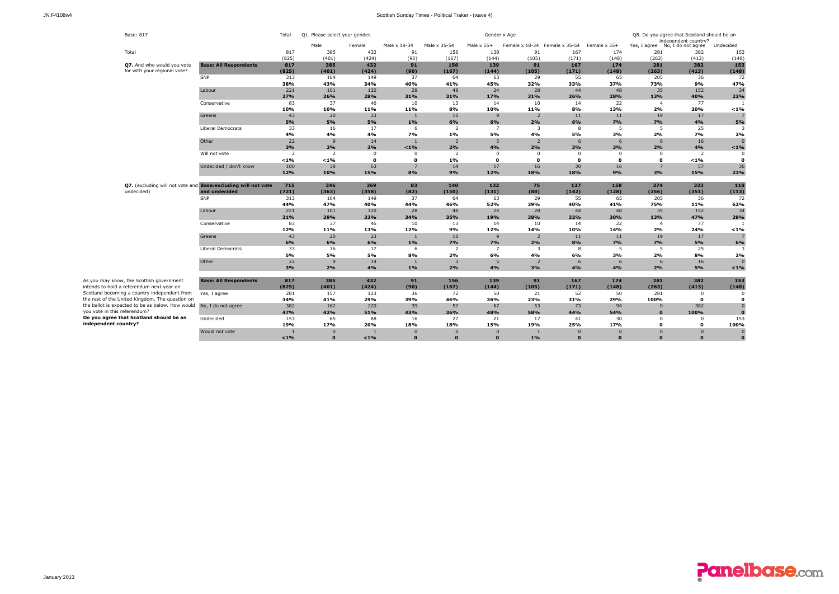| Base: 817                                                  |                                                                | Total          | Q1. Please select your gender. |              |                 |                |                   | Gender x Age   | Q8. Do you agree that Scotland should be an<br>independent country? |              |                |                                 |                |
|------------------------------------------------------------|----------------------------------------------------------------|----------------|--------------------------------|--------------|-----------------|----------------|-------------------|----------------|---------------------------------------------------------------------|--------------|----------------|---------------------------------|----------------|
|                                                            |                                                                |                | Male                           | Female       | Male x 18-34    | Male x 35-54   | Male $\times$ 55+ |                | Female x 18-34 Female x 35-54                                       | Female x 55+ |                | Yes, I agree No, I do not agree | Undecided      |
| Total                                                      |                                                                | 817            | 385                            | 432          | 91              | 156            | 139               | 91             | 167                                                                 | 174          | 281            | 382                             | 153            |
|                                                            |                                                                | (825)          | (401)                          | (424)        | (90)            | (167)          | (144)             | (105)          | (171)                                                               | (148)        | (263)          | (413)                           | (148)          |
| Q7. And who would you vote<br>for with your regional vote? | <b>Base: All Respondents</b>                                   | 817<br>(825)   | 385<br>(401)                   | 432<br>(424) | 91<br>(90)      | 156<br>(167)   | 139<br>(144)      | 91<br>(105)    | 167<br>(171)                                                        | 174<br>(148) | 281<br>(263)   | 382<br>(413)                    | 153<br>(148)   |
|                                                            | SNP                                                            | 313            | 164                            | 149          | 37              | 64             | 63                | 29             | 55                                                                  | 65           | 205            | 36                              | 72             |
|                                                            |                                                                | 38%            | 43%                            | 34%          | 40%             | 41%            | 45%               | 32%            | 33%                                                                 | 37%          | 73%            | 9%                              | 47%            |
|                                                            | Labour                                                         | 221            | 101                            | 120          | 28              | 48             | 24                | 28             | 44                                                                  | 48           | 35             | 152                             | 34             |
|                                                            |                                                                | 27%            | 26%                            | 28%          | 31%             | 31%            | 17%               | 31%            | 26%                                                                 | 28%          | 13%            | 40%                             | 22%            |
|                                                            | Conservative                                                   | 83             | 37                             | 46           | 10              | 13             | 14                | 10             | 14                                                                  | 22           | $\overline{a}$ | 77                              |                |
|                                                            |                                                                | 10%            | 10%                            | 11%          | 11%             | 8%             | 10%               | 11%            | 8%                                                                  | 13%          | 2%             | 20%                             | 1%             |
|                                                            | Greens                                                         | 43             | 20                             | 23           | -1              | 10             | 9                 | $\overline{2}$ | 11                                                                  | 11           | 19             | 17                              | 7              |
|                                                            |                                                                | 5%             | 5%                             | 5%           | 1%              | 6%             | 6%                | 2%             | 6%                                                                  | 7%           | 7%             | 4%                              | 5%             |
|                                                            | <b>Liberal Democrats</b>                                       | 33             | 16                             | 17           | 6               | $\overline{2}$ | $\overline{7}$    | 3              | 8                                                                   | 5            | 5              | 25                              | 3              |
|                                                            |                                                                | 4%             | 4%                             | 4%           | 7%              | 1%             | 5%                | 4%             | 5%                                                                  | 3%           | 2%             | 7%                              | 2%             |
|                                                            | Other                                                          | 22             | 9                              | 14           | $\blacksquare$  | $\overline{3}$ | 5                 | $\overline{2}$ | 6                                                                   | 6            | 6              | 16                              | $\overline{0}$ |
|                                                            |                                                                | 3%             | 2%                             | 3%           | $< 1\%$         | 2%             | 4%                | 2%             | 3%                                                                  | 3%           | 2%             | 4%                              | < 1%           |
|                                                            | Will not vote                                                  | $\overline{2}$ | 2                              | $\Omega$     | $^{\circ}$      | $\overline{2}$ | $\mathbf 0$       | $\Omega$       | $\Omega$                                                            | 0            | $^{\circ}$     | 2                               | 0              |
|                                                            |                                                                | < 1%           | $< 1\%$                        | $\mathbf 0$  | 0               | 1%             | $\mathbf{o}$      | $\mathbf{o}$   | $\mathbf{0}$                                                        | $\mathbf{o}$ | $\mathbf{o}$   | < 1%                            | $\mathbf{0}$   |
|                                                            | Undecided / don't know                                         | 100            | 38                             | 63           | $7\overline{ }$ | 14             | 17                | 16             | 30                                                                  | 16           | $\overline{7}$ | 57                              | 36             |
|                                                            |                                                                | 12%            | 10%                            | 15%          | 8%              | 9%             | 12%               | 18%            | 18%                                                                 | 9%           | 3%             | 15%                             | 23%            |
|                                                            |                                                                |                |                                |              |                 |                |                   |                |                                                                     |              |                |                                 |                |
|                                                            | Q7. (excluding will not vote and Base: excluding will not vote | 715            | 346                            | 369          | 83              | 140            | 122               | 75             | 137                                                                 | 158          | 274            | 323                             | 118            |
| undecided)                                                 | and undecided                                                  | (721)          | (363)                          | (358)        | (82)            | (150)          | (131)             | (88)           | (142)                                                               | (128)        | (256)          | (351)                           | (113)          |
|                                                            | SNP                                                            | 313            | 164                            | 149          | 37              | 64             | 63                | 29             | 55                                                                  | 65           | 205            | 36                              | 72             |
|                                                            |                                                                | 44%            | 47%                            | 40%          | 44%             | 46%            | 52%               | 39%            | 40%                                                                 | 41%          | 75%            | 11%                             | 62%            |
|                                                            | Labour                                                         | 221<br>31%     | 101<br>29%                     | 120<br>33%   | 28<br>34%       | 48<br>35%      | 24<br>19%         | 28<br>38%      | 44<br>32%                                                           | 48<br>30%    | 35<br>13%      | 152<br>47%                      | 34<br>29%      |
|                                                            | Conservative                                                   | 83             | 37                             | 46           | 10              | 13             | 14                | 10             | 14                                                                  | 22           | $\overline{4}$ | 77                              |                |
|                                                            |                                                                | 12%            | 11%                            | 13%          | 12%             | 9%             | 12%               | 14%            | 10%                                                                 | 14%          | 2%             | 24%                             | < 1%           |
|                                                            | Greens                                                         | 43             | 20                             | 23           | $\mathbf{1}$    | 10             | 9                 | $\overline{2}$ | 11                                                                  | 11           | 19             | 17                              | $\overline{7}$ |
|                                                            |                                                                | 6%             | 6%                             | 6%           | 1%              | 7%             | 7%                | 2%             | 8%                                                                  | 7%           | 7%             | 5%                              | 6%             |
|                                                            | <b>Liberal Democrats</b>                                       | 33             | 16                             | 17           | 6               | $\overline{2}$ | $\overline{7}$    | 3              | 8                                                                   | - 5          | 5              | 25                              | 3              |
|                                                            |                                                                | 5%             | 5%                             | 5%           | 8%              | 2%             | 6%                | 4%             | 6%                                                                  | 3%           | 2%             | 8%                              | 2%             |
|                                                            | Other                                                          | 22             | 9                              | 14           | $\overline{1}$  | $\overline{3}$ | 5                 | $\overline{2}$ | 6                                                                   | 6            | 6              | 16                              | $\overline{0}$ |
|                                                            |                                                                | 3%             | 2%                             | 4%           | 1%              | 2%             | 4%                | 3%             | 4%                                                                  | 4%           | 2%             | 5%                              | < 1%           |
|                                                            |                                                                |                |                                |              |                 |                |                   |                |                                                                     |              |                |                                 |                |
| As you may know, the Scottish government                   | <b>Base: All Respondents</b>                                   | 817            | 385                            | 432          | 91              | 156            | 139               | 91             | 167                                                                 | 174          | 281            | 382                             | 153            |
| intends to hold a referendum next year on                  |                                                                | (825)          | (401)                          | (424)        | (90)            | (167)          | (144)             | (105)          | (171)                                                               | (148)        | (263)          | (413)                           | (148)          |
| Scotland becoming a country independent from               | Yes, I agree                                                   | 281            | 157                            | 123          | 36              | 72             | 50                | 21             | 52                                                                  | 50           | 281            | $\mathbf 0$                     | 0              |
| the rest of the United Kingdom. The question on            |                                                                | 34%            | 41%                            | 29%          | 39%             | 46%            | 36%               | 23%            | 31%                                                                 | 29%          | 100%           | $\mathbf{0}$                    | $\mathbf{0}$   |
| the ballot is expected to be as below. How would           | No, I do not agree                                             | 382            | 162                            | 220          | 39              | 57             | 67                | 53             | 73                                                                  | 94           | $\mathbf{0}$   | 382                             | $\overline{0}$ |
| you vote in this referendum?                               |                                                                | 47%            | 42%                            | 51%          | 43%             | 36%            | 48%               | 58%            | 44%                                                                 | 54%          | $\Omega$       | 100%                            | $\Omega$       |
| Do you agree that Scotland should be an                    | Undecided                                                      | 153            | 65                             | 88           | 16              | 27             | 21                | 17             | 41                                                                  | 30           | $\Omega$       | $\mathbf{0}$                    | 153            |
| independent country?                                       |                                                                | 19%            | 17%                            | 20%          | 18%             | 18%            | 15%               | 19%            | 25%                                                                 | 17%          | n              | $\mathbf o$                     | 100%           |
|                                                            | Would not vote                                                 | $\blacksquare$ | $\Omega$                       |              | $\Omega$        | $\Omega$       |                   |                | $\Omega$                                                            | $\Omega$     |                | $\Omega$                        | $\overline{0}$ |
|                                                            |                                                                | $< 1\%$        | $\Omega$                       | $< 1\%$      | $\Omega$        | $\Omega$       | $\Omega$          | 1%             | $\Omega$                                                            | $\Omega$     |                | $\Omega$                        | $\Omega$       |

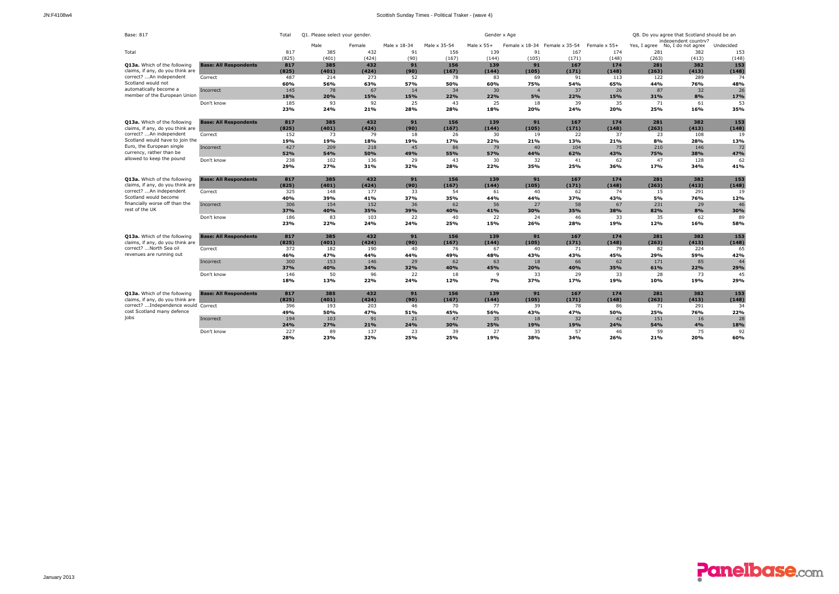| <b>Base: 817</b>                                            |                              | Total      | Q1. Please select your gender. |            |              |              | Gender x Age      |                | Q8. Do you agree that Scotland should be an<br>independent country? |              |            |                                 |           |
|-------------------------------------------------------------|------------------------------|------------|--------------------------------|------------|--------------|--------------|-------------------|----------------|---------------------------------------------------------------------|--------------|------------|---------------------------------|-----------|
|                                                             |                              |            | Male                           | Female     | Male x 18-34 | Male x 35-54 | Male $\times$ 55+ |                | Female x 18-34 Female x 35-54                                       | Female x 55+ |            | Yes, I agree No, I do not agree | Undecided |
| Total                                                       |                              | 817        | 385                            | 432        | 91           | 156          | 139               | 91             | 167                                                                 | 174          | 281        | 382                             | 153       |
|                                                             |                              | (825)      | (401)                          | (424)      | (90)         | (167)        | (144)             | (105)          | (171)                                                               | (148)        | (263)      | (413)                           | (148)     |
| <b>O13a.</b> Which of the following                         | <b>Base: All Respondents</b> | 817        | 385                            | 432        | 91           | 156          | 139               | 91             | 167                                                                 | 174          | 281        | 382                             | 153       |
| claims, if any, do you think are                            |                              | (825)      | (401)                          | (424)      | (90)         | (167)        | (144)             | (105)          | (171)                                                               | (148)        | (263)      | (413)                           | (148)     |
| correct? An independent                                     | Correct                      | 487        | 214                            | 273        | 52           | 78           | 83                | 69             | 91                                                                  | 113          | 122        | 289                             | 74        |
| Scotland would not                                          |                              | 60%        | 56%                            | 63%        | 57%          | 50%          | 60%               | 75%            | 54%                                                                 | 65%          | 44%        | 76%                             | 48%       |
| automatically become a                                      | Incorrect                    | 145        | 78                             | 67         | 14           | 34           | 30                | $\overline{4}$ | 37                                                                  | 26           | 87         | 32                              | 26        |
| member of the European Union                                |                              | 18%        | 20%                            | 15%        | 15%          | 22%          | 22%               | 5%             | 22%                                                                 | 15%          | 31%        | 8%                              | 17%       |
|                                                             | Don't know                   | 185        | 93                             | 92         | 25           | 43           | 25                | 18             | 39                                                                  | 35           | 71         | 61                              | 53        |
|                                                             |                              | 23%        | 24%                            | 21%        | 28%          | 28%          | 18%               | 20%            | 24%                                                                 | 20%          | 25%        | 16%                             | 35%       |
|                                                             |                              |            |                                |            |              |              |                   |                |                                                                     |              |            |                                 |           |
| Q13a. Which of the following                                | <b>Base: All Respondents</b> | 817        | 385                            | 432        | 91           | 156          | 139               | 91             | 167                                                                 | 174          | 281        | 382                             | 153       |
| claims, if any, do you think are                            |                              | (825)      | (401)                          | (424)      | (90)         | (167)        | (144)             | (105)          | (171)                                                               | (148)        | (263)      | (413)                           | (148)     |
| correct? An independent                                     | Correct                      | 152        | 73                             | 79         | 18           | 26           | 30                | 19             | 22                                                                  | 37           | 23         | 108                             | 19        |
| Scotland would have to join the                             |                              | 19%        | 19%                            | 18%        | 19%          | 17%          | 22%               | 21%            | 13%                                                                 | 21%          | 8%         | 28%                             | 13%       |
| Euro, the European single                                   | Incorrect                    | 427        | 209                            | 218        | 45           | 86           | 79                | 40             | 104                                                                 | 75           | 210        | 146                             | 72        |
| currency, rather than be                                    |                              | 52%        | 54%                            | 50%        | 49%          | 55%          | 57%               | 44%            | 62%                                                                 | 43%          | 75%        | 38%                             | 47%       |
| allowed to keep the pound                                   | Don't know                   | 238        | 102                            | 136        | 29           | 43           | 30                | 32             | 41                                                                  | 62           | 47         | 128                             | 62        |
|                                                             |                              | 29%        | 27%                            | 31%        | 32%          | 28%          | 22%               | 35%            | 25%                                                                 | 36%          | 17%        | 34%                             | 41%       |
|                                                             |                              |            |                                |            |              |              |                   |                |                                                                     |              |            |                                 |           |
| Q13a. Which of the following                                | <b>Base: All Respondents</b> | 817        | 385                            | 432        | 91           | 156          | 139               | 91             | 167                                                                 | 174          | 281        | 382                             | 153       |
| claims, if any, do you think are<br>correct? An independent |                              | (825)      | (401)                          | (424)      | (90)         | (167)        | (144)             | (105)          | (171)                                                               | (148)        | (263)      | (413)                           | (148)     |
| Scotland would become                                       | Correct                      | 325<br>40% | 148                            | 177        | 33<br>37%    | 54           | 61                | 40             | 62<br>37%                                                           | 74<br>43%    | 15         | 291<br>76%                      | 19        |
| financially worse off than the                              |                              |            | 39%                            | 41%        |              | 35%          | 44%               | 44%            |                                                                     |              | 5%         |                                 | 12%       |
| rest of the UK                                              | Incorrect                    | 306<br>37% | 154                            | 152        | 36           | 62           | 56                | 27             | 58                                                                  | 67           | 231<br>82% | 29                              | 46        |
|                                                             |                              | 186        | 40%<br>83                      | 35%        | 39%<br>22    | 40%<br>40    | 41%<br>22         | 30%<br>24      | 35%                                                                 | 38%<br>33    | 35         | 8%<br>62                        | 30%       |
|                                                             | Don't know                   | 23%        | 22%                            | 103<br>24% | 24%          | 25%          | 15%               | 26%            | 46<br>28%                                                           | 19%          | 12%        | 16%                             | 89<br>58% |
|                                                             |                              |            |                                |            |              |              |                   |                |                                                                     |              |            |                                 |           |
| Q13a. Which of the following                                | <b>Base: All Respondents</b> | 817        | 385                            | 432        | 91           | 156          | 139               | 91             | 167                                                                 | 174          | 281        | 382                             | 153       |
| claims, if any, do you think are                            |                              | (825)      | (401)                          | (424)      | (90)         | (167)        | (144)             | (105)          | (171)                                                               | (148)        | (263)      | (413)                           | (148)     |
| correct?  North Sea oil                                     | Correct                      | 372        | 182                            | 190        | 40           | 76           | 67                | 40             | 71                                                                  | 79           | 82         | 224                             | 65        |
| revenues are running out                                    |                              | 46%        | 47%                            | 44%        | 44%          | 49%          | 48%               | 43%            | 43%                                                                 | 45%          | 29%        | 59%                             | 42%       |
|                                                             | Incorrect                    | 300        | 153                            | 146        | 29           | 62           | 63                | 18             | 66                                                                  | 62           | 171        | 85                              | 44        |
|                                                             |                              | 37%        | 40%                            | 34%        | 32%          | 40%          | 45%               | 20%            | 40%                                                                 | 35%          | 61%        | 22%                             | 29%       |
|                                                             | Don't know                   | 146        | 50                             | 96         | 22           | 18           | 9                 | 33             | 29                                                                  | 33           | 28         | 73                              | 45        |
|                                                             |                              | 18%        | 13%                            | 22%        | 24%          | 12%          | 7%                | 37%            | 17%                                                                 | 19%          | 10%        | 19%                             | 29%       |
|                                                             |                              |            |                                |            |              |              |                   |                |                                                                     |              |            |                                 |           |
| Q13a. Which of the following                                | <b>Base: All Respondents</b> | 817        | 385                            | 432        | 91           | 156          | 139               | 91             | 167                                                                 | 174          | 281        | 382                             | 153       |
| claims, if any, do you think are                            |                              | (825)      | (401)                          | (424)      | (90)         | (167)        | (144)             | (105)          | (171)                                                               | (148)        | (263)      | (413)                           | (148)     |
| correct? Independence would Correct                         |                              | 396        | 193                            | 203        | 46           | 70           | 77                | 39             | 78                                                                  | 86           | 71         | 291                             | 34        |
| cost Scotland many defence                                  |                              | 49%        | 50%                            | 47%        | 51%          | 45%          | 56%               | 43%            | 47%                                                                 | 50%          | 25%        | 76%                             | 22%       |
| jobs                                                        | Incorrect                    | 194        | 103                            | 91         | 21           | 47           | 35                | 18             | 32                                                                  | 42           | 151        | 16                              | 28        |
|                                                             |                              | 24%        | 27%                            | 21%        | 24%          | 30%          | 25%               | 19%            | 19%                                                                 | 24%          | 54%        | 4%                              | 18%       |
|                                                             | Don't know                   | 227        | 89                             | 137        | 23           | 39           | 27                | 35             | 57                                                                  | 46           | 59         | 75                              | 92        |
|                                                             |                              | 28%        | 23%                            | 32%        | 25%          | 25%          | 19%               | 38%            | 34%                                                                 | 26%          | 21%        | 20%                             | 60%       |

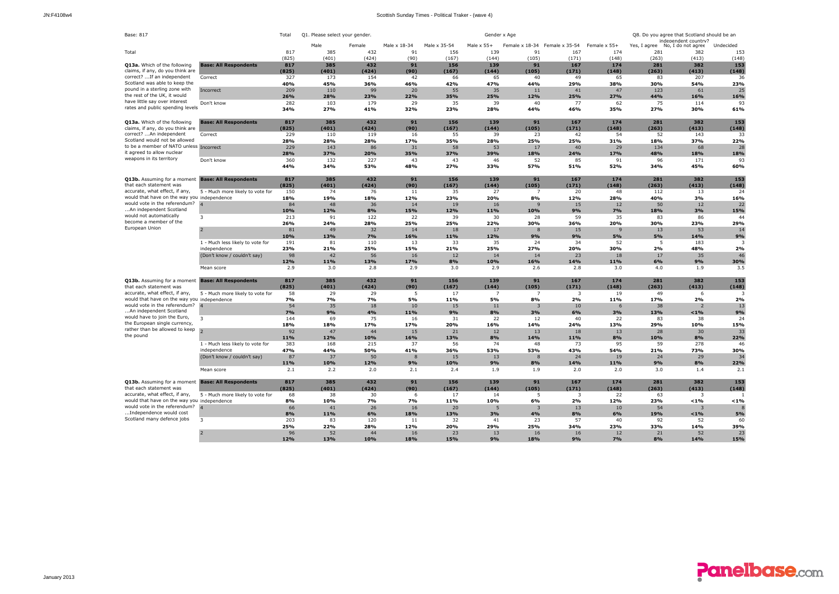| Base: 817                                                                    |                                  | Total        | Q1. Please select your gender. |             |              |              | Gender x Age      |                |                |              |                                 | Q8. Do you agree that Scotland should be an |             |
|------------------------------------------------------------------------------|----------------------------------|--------------|--------------------------------|-------------|--------------|--------------|-------------------|----------------|----------------|--------------|---------------------------------|---------------------------------------------|-------------|
|                                                                              |                                  |              | Male                           | Female      | Male x 18-34 | Male x 35-54 | Male $\times$ 55+ | Female x 18-34 | Female x 35-54 | Female x 55+ | Yes, I agree No, I do not agree | independent country?                        | Undecided   |
| Total                                                                        |                                  | 817          | 385                            | 432         | 91           | 156          | 139               | 91             | 167            | 174          | 281                             | 382                                         | 153         |
|                                                                              |                                  | (825)        | (401)                          | (424)       | (90)         | (167)        | (144)             | (105)          | (171)          | (148)        | (263)                           | (413)                                       | (148)       |
| Q13a. Which of the following                                                 | <b>Base: All Respondents</b>     | 817          | 385                            | 432         | 91           | 156          | 139               | 91             | 167            | 174          | 281                             | 382                                         | 153         |
| claims, if any, do you think are                                             |                                  | (825)        | (401)                          | (424)       | (90)         | (167)        | (144)             | (105)          | (171)          | (148)        | (263)                           | (413)                                       | (148)       |
| correct?  If an independent                                                  | Correct                          | 327          | 173                            | 154         | 42           | 66           | 65                | 40             | 49             | 65           | 83                              | 207                                         | 36          |
| Scotland was able to keep the                                                |                                  | 40%          | 45%                            | 36%         | 46%          | 42%          | 47%               | 44%            | 29%            | 38%          | 30%                             | 54%                                         | 23%         |
| pound in a sterling zone with<br>the rest of the UK, it would                | Incorrect                        | 209<br>26%   | 110<br>28%                     | 99<br>23%   | 20<br>22%    | 55<br>35%    | 35<br>25%         | 11<br>12%      | 41<br>25%      | 47<br>27%    | 123<br>44%                      | 61<br>16%                                   | 25<br>16%   |
| have little say over interest                                                | Don't know                       | 282          | 103                            | 179         | 29           | 35           | 39                | 40             | 77             | 62           | 75                              | 114                                         | 93          |
| rates and public spending levels                                             |                                  | 34%          | 27%                            | 41%         | 32%          | 23%          | 28%               | 44%            | 46%            | 35%          | 27%                             | 30%                                         | 61%         |
|                                                                              |                                  |              |                                |             |              |              |                   |                |                |              |                                 |                                             |             |
| Q13a. Which of the following                                                 | <b>Base: All Respondents</b>     | 817          | 385                            | 432         | 91           | 156          | 139               | 91             | 167            | 174          | 281                             | 382                                         | 153         |
| claims, if any, do you think are                                             |                                  | (825)        | (401)                          | (424)       | (90)         | (167)        | (144)             | (105)          | (171)          | (148)        | (263)                           | (413)                                       | (148)       |
| correct? An independent                                                      | Correct                          | 229          | 110                            | 119         | 16           | 55           | 39                | 23             | 42             | 54           | 52                              | 143                                         | 33          |
| Scotland would not be allowed                                                |                                  | 28%          | 28%                            | 28%         | 17%          | 35%          | 28%               | 25%            | 25%            | 31%          | 18%                             | 37%                                         | 22%         |
| to be a member of NATO unless Incorrect                                      |                                  | 229          | 143                            | 86          | 31           | 58           | 53                | 17             | 40             | 29           | 134                             | 68                                          | 28          |
| it agreed to allow nuclear                                                   |                                  | 28%          | 37%                            | 20%         | 35%          | 37%          | 39%               | 18%            | 24%            | 17%          | 48%                             | 18%                                         | 18%         |
| weapons in its territory                                                     | Don't know                       | 360          | 132                            | 227         | 43           | 43           | 46                | 52             | 85             | 91           | 96                              | 171                                         | 93          |
|                                                                              |                                  | 44%          | 34%                            | 53%         | 48%          | 27%          | 33%               | 57%            | 51%            | 52%          | 34%                             | 45%                                         | 60%         |
|                                                                              |                                  |              |                                |             |              |              |                   |                |                |              |                                 |                                             |             |
| Q13b. Assuming for a moment Base: All Respondents<br>that each statement was |                                  | 817          | 385                            | 432         | 91           | 156          | 139               | 91             | 167            | 174          | 281                             | 382                                         | 153         |
| accurate, what effect, if any,                                               | 5 - Much more likely to vote for | (825)<br>150 | (401)<br>74                    | (424)<br>76 | (90)<br>11   | (167)<br>35  | (144)<br>27       | (105)<br>7     | (171)<br>20    | (148)<br>48  | (263)<br>112                    | (413)<br>13                                 | (148)<br>24 |
| would that have on the way you independence                                  |                                  | 18%          | 19%                            | 18%         | 12%          | 23%          | 20%               | 8%             | 12%            | 28%          | 40%                             | 3%                                          | 16%         |
| would vote in the referendum?                                                | $\overline{a}$                   | 84           | 48                             | 36          | 14           | 19           | 16                | 9              | 15             | 12           | 50                              | 12                                          | 22          |
| An independent Scotland                                                      |                                  | 10%          | 12%                            | 8%          | 15%          | 12%          | 11%               | 10%            | 9%             | 7%           | 18%                             | 3%                                          | 15%         |
| would not automatically                                                      | 3                                | 213          | 91                             | 122         | 22           | 39           | 30                | 28             | 59             | 35           | 83                              | 86                                          | 44          |
| become a member of the                                                       |                                  | 26%          | 24%                            | 28%         | 25%          | 25%          | 22%               | 30%            | 36%            | 20%          | 30%                             | 23%                                         | 29%         |
| European Union                                                               |                                  | 81           | 49                             | 32          | 14           | 18           | 17                | $\mathbf{8}$   | 15             | 9            | 13                              | 53                                          | 14          |
|                                                                              |                                  | 10%          | 13%                            | 7%          | 16%          | 11%          | 12%               | 9%             | 9%             | 5%           | 5%                              | 14%                                         | 9%          |
|                                                                              | 1 - Much less likely to vote for | 191          | 81                             | 110         | 13           | 33           | 35                | 24             | 34             | 52           | 5                               | 183                                         | 3           |
|                                                                              | independence                     | 23%          | 21%                            | 25%         | 15%          | 21%          | 25%               | 27%            | 20%            | 30%          | 2%                              | 48%                                         | 2%          |
|                                                                              | (Don't know / couldn't say)      | 98           | 42                             | 56          | 16           | 12           | 14                | 14             | 23             | 18           | 17                              | 35                                          | 46          |
|                                                                              |                                  | 12%          | 11%                            | 13%         | 17%          | 8%           | 10%               | 16%            | 14%            | 11%          | 6%                              | 9%                                          | 30%         |
|                                                                              | Mean score                       | 2.9          | 3.0                            | 2.8         | 2.9          | 3.0          | 2.9               | 2.6            | 2.8            | 3.0          | 4.0                             | 1.9                                         | 3.5         |
| Q13b. Assuming for a moment Base: All Respondents                            |                                  | 817          | 385                            | 432         | 91           | 156          | 139               | 91             | 167            | 174          | 281                             | 382                                         | 153         |
| that each statement was                                                      |                                  | (825)        | (401)                          | (424)       | (90)         | (167)        | (144)             | (105)          | (171)          | (148)        | (263)                           | (413)                                       | (148)       |
| accurate, what effect, if any,                                               | 5 - Much more likely to vote for | 58           | 29                             | 29          | 5            | 17           | $\overline{7}$    | 7              | 3              | 19           | 49                              | 6                                           |             |
| would that have on the way you independence                                  |                                  | 7%           | 7%                             | <b>7%</b>   | 5%           | 11%          | 5%                | 8%             | 2%             | 11%          | 17%                             | 2%                                          | 2%          |
| would vote in the referendum? 4                                              |                                  | 54           | 35                             | 18          | 10           | 15           | 11                | 3              | 10             | 6            | 38                              | $\overline{z}$                              | 13          |
| An independent Scotland                                                      |                                  | 7%           | 9%                             | 4%          | 11%          | 9%           | 8%                | 3%             | 6%             | 3%           | 13%                             | $< 1\%$                                     | 9%          |
| would have to join the Euro,                                                 | 3                                | 144          | 69                             | 75          | 16           | 31           | 22                | 12             | 40             | 22           | 83                              | 38                                          | 24          |
| the European single currency,                                                |                                  | 18%          | 18%                            | 17%         | 17%          | 20%          | 16%               | 14%            | 24%            | 13%          | 29%                             | 10%                                         | 15%         |
| rather than be allowed to keep                                               |                                  | 92           | 47                             | 44          | 15           | 21           | 12                | 13             | 18             | 13           | 28                              | 30                                          | 33          |
| the pound                                                                    |                                  | 11%          | 12%                            | 10%         | 16%          | 13%          | 8%                | 14%            | 11%            | 8%           | 10%                             | 8%                                          | 22%         |
|                                                                              | 1 - Much less likely to vote for | 383          | 168                            | 215         | 37           | 56           | 74                | 48             | 73             | 95           | 59                              | 278                                         | 46          |
|                                                                              | independence                     | 47%          | 44%                            | 50%         | 41%          | 36%          | 53%               | 53%            | 43%            | 54%          | 21%                             | 73%                                         | 30%         |
|                                                                              | (Don't know / couldn't say)      | 87           | 37                             | 50          | $\mathbf{8}$ | 15           | 13                | 8              | 24             | 19           | 24                              | 29                                          | 34          |
|                                                                              |                                  | 11%          | 10%                            | 12%         | 9%           | 10%          | 9%                | 8%             | 14%            | 11%          | 9%                              | 8%                                          | 22%         |
|                                                                              | Mean score                       | 2.1          | 2.2                            | 2.0         | 2.1          | 2.4          | 1.9               | 1.9            | 2.0            | 2.0          | 3.0                             | 1.4                                         | 2.1         |
| Q13b. Assuming for a moment Base: All Respondents                            |                                  | 817          | 385                            | 432         | 91           | 156          | 139               | 91             | 167            | 174          | 281                             | 382                                         | 153         |
| that each statement was                                                      |                                  | (825)        | (401)                          | (424)       | (90)         | (167)        | (144)             | (105)          | (171)          | (148)        | (263)                           | (413)                                       | (148)       |
| accurate, what effect, if any,                                               | 5 - Much more likely to vote for | 68           | 38                             | 30          | 6            | 17           | 14                | 5              | 3              | 22           | 63                              | 3                                           |             |
| would that have on the way you independence                                  |                                  | 8%           | 10%                            | <b>7%</b>   | 7%           | 11%          | 10%               | 6%             | 2%             | 12%          | 23%                             | $< 1\%$                                     | $< 1\%$     |
| would vote in the referendum?                                                | $\overline{A}$                   | 66           | 41                             | 26          | 16           | 20           | 5                 | 3              | 13             | 10           | 54                              | 3                                           |             |
| Independence would cost                                                      |                                  | 8%           | 11%                            | 6%          | 18%          | 13%          | 3%                | 4%             | 8%             | 6%           | 19%                             | $< 1\%$                                     | 5%          |
| Scotland many defence jobs                                                   | 3                                | 203          | 83                             | 120         | 11           | 32           | 41                | 23             | 57             | 40           | 92                              | 52                                          | 60          |
|                                                                              |                                  | 25%          | 22%                            | 28%         | 12%          | 20%          | 29%               | 25%            | 34%            | 23%          | 33%                             | 14%                                         | 39%         |
|                                                                              | $\overline{z}$                   | 96           | 52                             | 44          | 16           | 23           | 13                | 16             | 16             | 12           | 21                              | 52                                          | 23          |
|                                                                              |                                  | 12%          | 13%                            | 10%         | 18%          | 15%          | 9%                | 18%            | 9%             | 7%           | 8%                              | 14%                                         | 15%         |

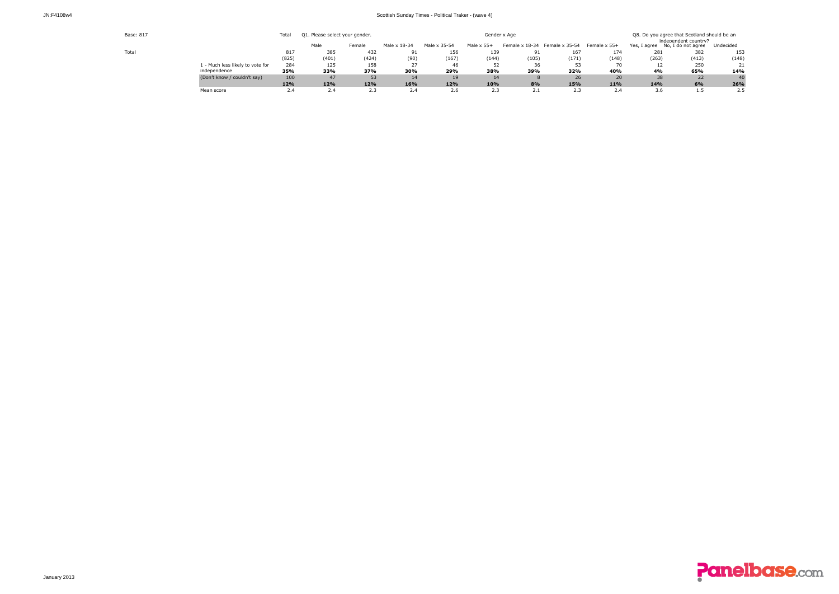| JN:F4108w4 |  |
|------------|--|
|------------|--|

| Base: 817 |                                  | Total | Q1. Please select your gender. |        |                |              | Q8. Do you agree that Scotland should be an<br>independent country? |       |                               |              |       |                                 |           |
|-----------|----------------------------------|-------|--------------------------------|--------|----------------|--------------|---------------------------------------------------------------------|-------|-------------------------------|--------------|-------|---------------------------------|-----------|
|           |                                  |       | Male                           | Female | Male x 18-34   | Male x 35-54 | Male $\times$ 55+                                                   |       | Female x 18-34 Female x 35-54 | Female x 55+ |       | Yes, I agree No, I do not agree | Undecided |
| Total     |                                  | 817   | 385                            | 432    |                | 156          | 139                                                                 | 91    | 167                           | 174          | 281   | 382                             | 153       |
|           |                                  | (825) | (401)                          | (424)  | (90)           | (167)        | (144)                                                               | (105) | (171)                         | (148)        | (263) | (413)                           | (148)     |
|           | 1 - Much less likely to vote for | 284   | 125                            | 158    | $\mathcal{L}I$ |              |                                                                     |       |                               |              | 12    | 250                             | 21        |
|           | independence                     | 35%   | 33%                            | 37%    | 30%            | 29%          | 38%                                                                 | 39%   | 32%                           | 40%          | 4%    | 65%                             | 14%       |
|           | (Don't know / couldn't say)      | 100   | 47                             | 53     | 14             | 19           | 14                                                                  |       | 26                            | 20           | 38    | 22                              | 40        |
|           |                                  | 12%   | 12%                            | 12%    | 16%            | 12%          | 10%                                                                 | 8%    | 15%                           | 11%          | 14%   | 6%                              | 26%       |
|           | Mean score                       | 2.4   | 2.4                            | 2.3    | 2.4            | 2.6          | 2.1                                                                 | 2.1   | 2.3                           | 2.4          | 3.6   | 1.3                             | 2.5       |

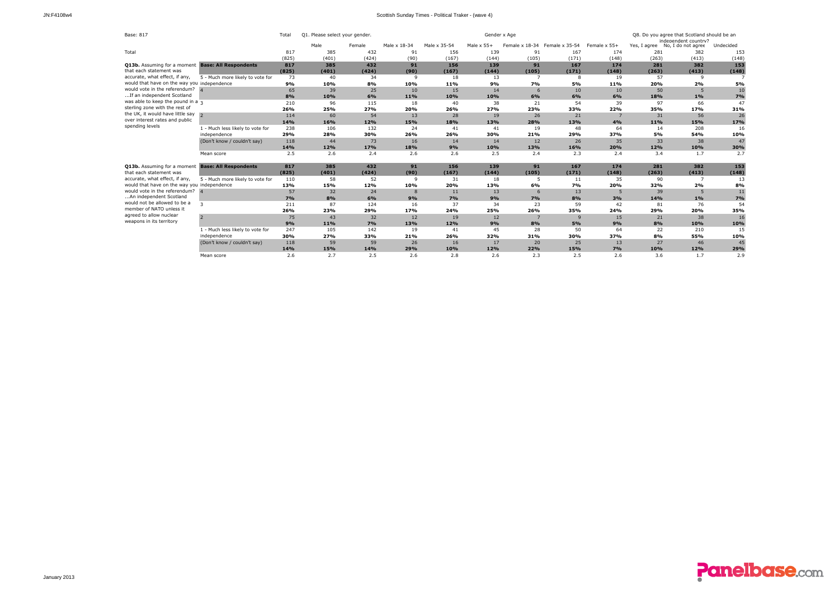| Base: 817                                         |                                  | Total | Q1. Please select your gender. |        |              |              |                   | Q8. Do you agree that Scotland should be an<br>independent country? |                |              |       |                                 |           |
|---------------------------------------------------|----------------------------------|-------|--------------------------------|--------|--------------|--------------|-------------------|---------------------------------------------------------------------|----------------|--------------|-------|---------------------------------|-----------|
|                                                   |                                  |       | Male                           | Female | Male x 18-34 | Male x 35-54 | Male $\times$ 55+ | Female x 18-34                                                      | Female x 35-54 | Female x 55+ |       | Yes, I agree No, I do not agree | Undecided |
| Total                                             |                                  | 817   | 385                            | 432    | 91           | 156          | 139               | 91                                                                  | 167            | 174          | 281   | 382                             | 153       |
|                                                   |                                  | (825) | (401)                          | (424)  | (90)         | (167)        | (144)             | (105)                                                               | (171)          | (148)        | (263) | (413)                           | (148)     |
| Q13b. Assuming for a moment                       | <b>Base: All Respondents</b>     | 817   | 385                            | 432    | 91           | 156          | 139               | 91                                                                  | 167            | 174          | 281   | 382                             | 153       |
| that each statement was                           |                                  | (825) | (401)                          | (424)  | (90)         | (167)        | (144)             | (105)                                                               | (171)          | (148)        | (263) | (413)                           | (148)     |
| accurate, what effect, if any,                    | 5 - Much more likely to vote for | 73    | 40                             | 34     | $\mathsf{Q}$ | 18           | 13                | $\overline{ }$                                                      | R              | 19           | 57    | ۹                               |           |
| would that have on the way you independence       |                                  | 9%    | 10%                            | 8%     | 10%          | 11%          | 9%                | <b>7%</b>                                                           | 5%             | 11%          | 20%   | 2%                              | 5%        |
| would vote in the referendum?                     |                                  | 65    | 39                             | 25     | 10           | 15           | 14                | 6                                                                   | 10             | 10           | 50    | 5                               | 10        |
| If an independent Scotland                        |                                  | 8%    | 10%                            | 6%     | 11%          | 10%          | 10%               | 6%                                                                  | 6%             | 6%           | 18%   | 1%                              | 7%        |
| was able to keep the pound in a $\overline{3}$    |                                  | 210   | 96                             | 115    | 18           | 40           | 38                | 21                                                                  | 54             | 39           | 97    | 66                              | 47        |
| sterling zone with the rest of                    |                                  | 26%   | 25%                            | 27%    | 20%          | 26%          | 27%               | 23%                                                                 | 33%            | 22%          | 35%   | 17%                             | 31%       |
| the UK, it would have little say                  | $\overline{a}$                   | 114   | 60                             | 54     | 13           | 28           | 19                | 26                                                                  | 21             |              | 31    | 56                              | 26        |
| over interest rates and public                    |                                  | 14%   | 16%                            | 12%    | 15%          | 18%          | 13%               | 28%                                                                 | 13%            | 4%           | 11%   | 15%                             | 17%       |
| spending levels                                   | 1 - Much less likely to vote for | 238   | 106                            | 132    | 24           | 41           | 41                | 19                                                                  | 48             | 64           | 14    | 208                             | 16        |
|                                                   | independence                     | 29%   | 28%                            | 30%    | 26%          | 26%          | 30%               | 21%                                                                 | 29%            | 37%          | 5%    | 54%                             | 10%       |
|                                                   | (Don't know / couldn't say)      | 118   | 44                             | 73     | 16           | 14           | 14                | 12                                                                  | 26             | 35           | 33    | 38                              | 47        |
|                                                   |                                  | 14%   | 12%                            | 17%    | 18%          | 9%           | 10%               | 13%                                                                 | 16%            | 20%          | 12%   | 10%                             | 30%       |
|                                                   | Mean score                       | 2.5   | 2.6                            | 2.4    | 2.6          | 2.6          | 2.5               | 2.4                                                                 | 2.3            | 2.4          | 3.4   | 1.7                             | 2.7       |
| Q13b. Assuming for a moment Base: All Respondents |                                  | 817   | 385                            | 432    | 91           | 156          | 139               | 91                                                                  | 167            | 174          | 281   | 382                             | 153       |
| that each statement was                           |                                  | (825) | (401)                          | (424)  | (90)         | (167)        | (144)             | (105)                                                               | (171)          | (148)        | (263) | (413)                           | (148)     |
| accurate, what effect, if any,                    | 5 - Much more likely to vote for | 110   | 58                             | 52     | 9            | 31           | 18                | 5                                                                   | 11             | 35           | 90    | $\overline{z}$                  | 13        |
| would that have on the way you independence       |                                  | 13%   | 15%                            | 12%    | 10%          | 20%          | 13%               | 6%                                                                  | <b>7%</b>      | 20%          | 32%   | 2%                              | 8%        |
| would vote in the referendum?                     |                                  | 57    | 32                             | 24     | $\mathbf{8}$ | 11           | 13                | 6                                                                   | 13             |              | 39    | 5                               | 11        |
| An independent Scotland                           |                                  | 7%    | 8%                             | 6%     | 9%           | 7%           | 9%                | 7%                                                                  | 8%             | 3%           | 14%   | 1%                              | 7%        |
| would not be allowed to be a                      | $\mathbf{R}$                     | 211   | 87                             | 124    | 16           | 37           | 34                | 23                                                                  | 59             | 42           | 81    | 76                              | 54        |
| member of NATO unless it                          |                                  | 26%   | 23%                            | 29%    | 17%          | 24%          | 25%               | 26%                                                                 | 35%            | 24%          | 29%   | 20%                             | 35%       |
| agreed to allow nuclear                           | $\overline{z}$                   | 75    | 43                             | 32     | 12           | 19           | 12                |                                                                     | $\mathbf{q}$   | 15           | 21    | 38                              | 16        |
| weapons in its territory                          |                                  | 9%    | 11%                            | 7%     | 13%          | 12%          | 9%                | 8%                                                                  | 5%             | 9%           | 8%    | 10%                             | 10%       |
|                                                   | 1 - Much less likely to vote for | 247   | 105                            | 142    | 19           | 41           | 45                | 28                                                                  | 50             | 64           | 22    | 210                             | 15        |
|                                                   | independence                     | 30%   | 27%                            | 33%    | 21%          | 26%          | 32%               | 31%                                                                 | 30%            | 37%          | 8%    | 55%                             | 10%       |
|                                                   | (Don't know / couldn't say)      | 118   | 59                             | 59     | 26           | 16           | 17                | 20                                                                  | 25             | 13           | 27    | 46                              | 45        |
|                                                   |                                  | 14%   | 15%                            | 14%    | 29%          | 10%          | 12%               | 22%                                                                 | 15%            | 7%           | 10%   | 12%                             | 29%       |
|                                                   | Mean score                       | 2.6   | 2.7                            | 2.5    | 2.6          | 2.8          | 2.6               | 2.3                                                                 | 2.5            | 2.6          | 3.6   | 1.7                             | 2.9       |